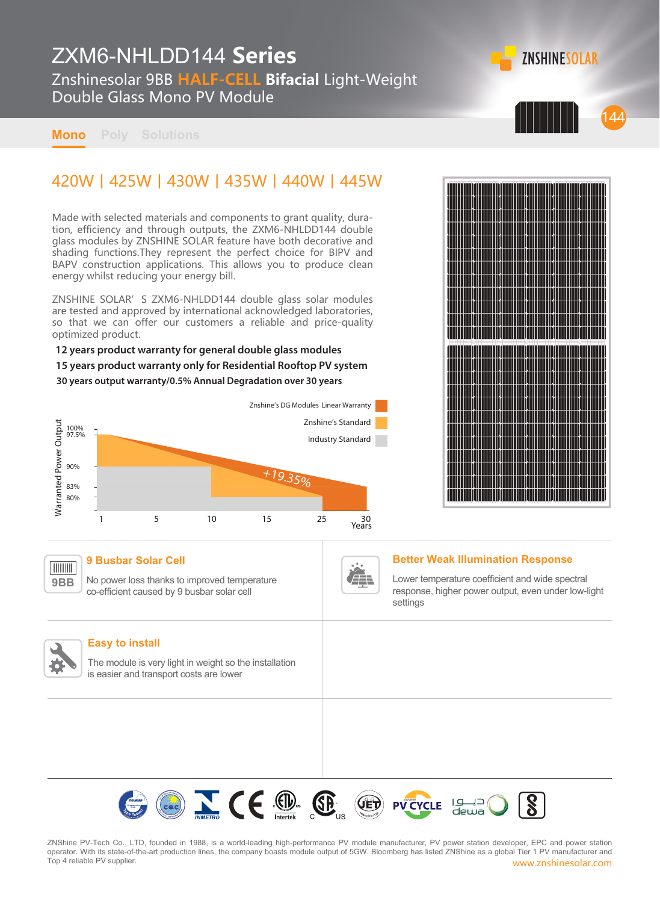# ZXM6-NHLDD144 **Series**

Znshinesolar 9BB **HALF-CELL Bifacial** Light-Weight Double Glass Mono PV Module

**Mono Poly Solutions**

## 420W丨425W丨430W丨435W丨440W丨445W

Made with selected materials and components to grant quality, duration, efficiency and through outputs, the ZXM6-NHLDD144 double glass modules by ZNSHINE SOLAR feature have both decorative and shading functions.They represent the perfect choice for BIPV and BAPV construction applications. This allows you to produce clean energy whilst reducing your energy bill.

ZNSHINE SOLAR'S ZXM6-NHLDD144 double glass solar modules are tested and approved by international acknowledged laboratories, so that we can offer our customers a reliable and price-quality optimized product.

## **12 years product warranty for general double glass modules**

**15 years product warranty only for Residential Rooftop PV system**

#### **30 years output warranty/0.5% Annual Degradation over 30 years**





144

**ZNSHINESOLAR** 

#### **9 Busbar Solar Cell TIIIIIIII**

No power loss thanks to improved temperature co-efficient caused by 9 busbar solar cell



### **Better Weak Illumination Response**

Lower temperature coefficient and wide spectral response, higher power output, even under low-light settings



**9BB**

#### **Easy to install**

The module is very light in weight so the installation is easier and transport costs are lower

> Ce D. E U VCYCLE  $|q|$ deua

www.znshinesolar.com ZNShine PV-Tech Co., LTD, founded in 1988, is a world-leading high-performance PV module manufacturer, PV power station developer, EPC and power station operator. With its state-of-the-art production lines, the company boasts module output of 5GW. Bloomberg has listed ZNShine as a global Tier 1 PV manufacturer and Top 4 reliable PV supplier.